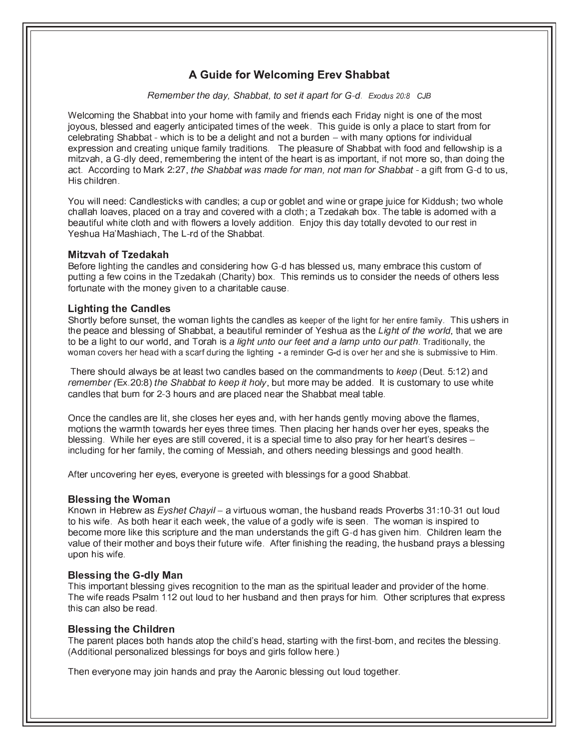# A Guide for Welcoming Erev Shabbat

Remember the day, Shabbat, to set it apart for G-d. Exodus 20:8 CJB

Welcoming the Shabbat into your home with family and friends each Friday night is one of the most joyous, blessed and eagerly anticipated times of the week. This guide is only a place to start from for celebrating Shabbat - which is to be a delight and not a burden – with many options for individual expression and creating unique family traditions. The pleasure of Shabbat with food and fellowship is a mitzvah, a G-dly deed, remembering the intent of the heart is as important, if not more so, than doing the act. According to Mark 2:27, the Shabbat was made for man, not man for Shabbat - a gift from G-d to us, His children.

You will need: Candlesticks with candles; a cup or goblet and wine or grape juice for Kiddush; two whole challah loaves, placed on a tray and covered with a cloth; a Tzedakah box. The table is adorned with a beautiful white cloth and with flowers a lovely addition. Enjoy this day totally devoted to our rest in Yeshua Ha'Mashiach, The L-rd of the Shabbat.

# **Mitzvah of Tzedakah**

Before lighting the candles and considering how G-d has blessed us, many embrace this custom of putting a few coins in the Tzedakah (Charity) box. This reminds us to consider the needs of others less fortunate with the money given to a charitable cause.

# **Lighting the Candles**

Shortly before sunset, the woman lights the candles as keeper of the light for her entire family. This ushers in the peace and blessing of Shabbat, a beautiful reminder of Yeshua as the Light of the world, that we are to be a light to our world, and Torah is a light unto our feet and a lamp unto our path. Traditionally, the woman covers her head with a scarf during the lighting - a reminder G-d is over her and she is submissive to Him.

There should always be at least two candles based on the commandments to keep (Deut. 5:12) and remember (Ex.20:8) the Shabbat to keep it holy, but more may be added. It is customary to use white candles that burn for 2-3 hours and are placed near the Shabbat meal table.

Once the candles are lit, she closes her eyes and, with her hands gently moving above the flames, motions the warmth towards her eyes three times. Then placing her hands over her eyes, speaks the blessing. While her eyes are still covered, it is a special time to also pray for her heart's desires including for her family, the coming of Messiah, and others needing blessings and good health.

After uncovering her eves, everyone is greeted with blessings for a good Shabbat.

# **Blessing the Woman**

Known in Hebrew as Eyshet Chayil - a virtuous woman, the husband reads Proverbs 31:10-31 out loud to his wife. As both hear it each week, the value of a godly wife is seen. The woman is inspired to become more like this scripture and the man understands the gift G-d has given him. Children learn the value of their mother and boys their future wife. After finishing the reading, the husband prays a blessing upon his wife

# **Blessing the G-dly Man**

This important blessing gives recognition to the man as the spiritual leader and provider of the home. The wife reads Psalm 112 out loud to her husband and then prays for him. Other scriptures that express this can also be read.

# **Blessing the Children**

The parent places both hands atop the child's head, starting with the first-born, and recites the blessing. (Additional personalized blessings for boys and girls follow here.)

Then everyone may join hands and pray the Aaronic blessing out loud together.